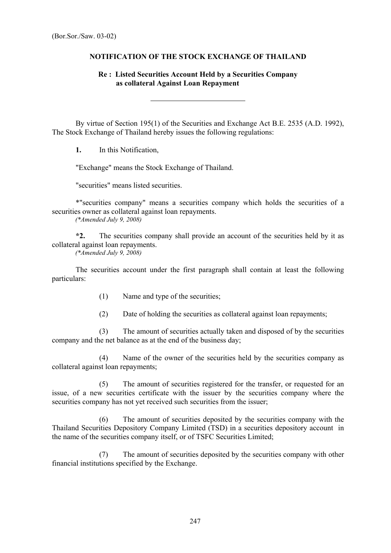## **NOTIFICATION OF THE STOCK EXCHANGE OF THAILAND**

## **Re : Listed Securities Account Held by a Securities Company as collateral Against Loan Repayment**

By virtue of Section 195(1) of the Securities and Exchange Act B.E. 2535 (A.D. 1992), The Stock Exchange of Thailand hereby issues the following regulations:

**1.** In this Notification,

"Exchange" means the Stock Exchange of Thailand.

 $\overline{a}$ 

"securities" means listed securities.

\*"securities company" means a securities company which holds the securities of a securities owner as collateral against loan repayments.

 *(\*Amended July 9, 2008)* 

**\*2.** The securities company shall provide an account of the securities held by it as collateral against loan repayments.

 *(\*Amended July 9, 2008)* 

The securities account under the first paragraph shall contain at least the following particulars:

- (1) Name and type of the securities;
- (2) Date of holding the securities as collateral against loan repayments;

 (3) The amount of securities actually taken and disposed of by the securities company and the net balance as at the end of the business day;

 (4) Name of the owner of the securities held by the securities company as collateral against loan repayments;

 (5) The amount of securities registered for the transfer, or requested for an issue, of a new securities certificate with the issuer by the securities company where the securities company has not yet received such securities from the issuer;

 (6) The amount of securities deposited by the securities company with the Thailand Securities Depository Company Limited (TSD) in a securities depository account in the name of the securities company itself, or of TSFC Securities Limited;

 (7) The amount of securities deposited by the securities company with other financial institutions specified by the Exchange.